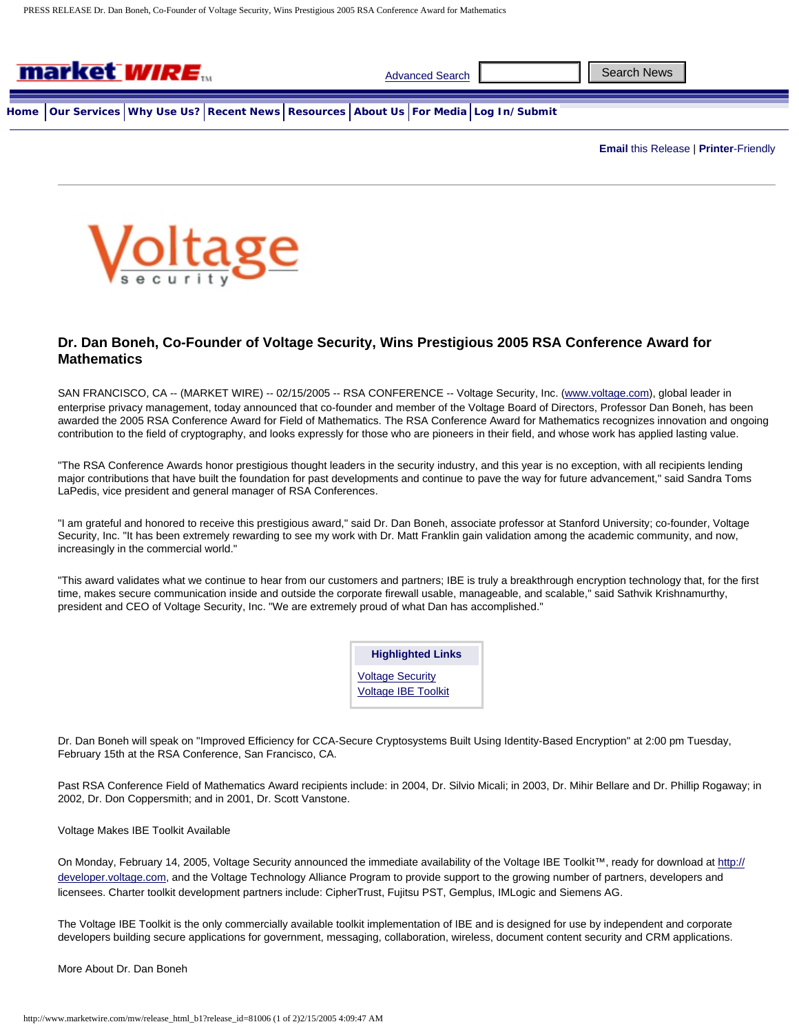

**Email** [this Release](http://www.marketwire.com/mw/email_release?prid=81006) | **Printer**[-Friendly](http://www.marketwire.com/mw/release_printer_friendly?release_id=81006&category=)



## **[Dr](http://www.marketwire.com/mw/release_index?channel=Government). Dan Boneh, Co-Founder of Voltage Security, Wins Prestigious 2005 RSA Conference Award for [Mathem](http://www.marketwire.com/mw/release_index?channel=LifestyleLeisure)[atics](http://www.marketwire.com/mw/release_index?channel=ManufacturingProduction)**

[SAN FRANCISC](http://www.marketwire.com/mw/release_index?channel=MediaEntertainment)O, CA -- (MARKET WIRE) -- 02/15/2005 -- RSA CONFERENCE -- Voltage Security, Inc. [\(www.voltage.com\)](http://www.voltage.com/), global leader in [enterprise priv](http://www.marketwire.com/mw/release_index?channel=MedicalHealthcare)acy management, today announced that co-founder and member of the Voltage Board of Directors, Professor Dan Boneh, has been awarded the 2005 RSA Conference Award for Field of Mathematics. The RSA Conference Award for Mathematics recognizes innovation and ongoing [contribution to the fie](http://www.marketwire.com/mw/release_index?channel=PharmaceuticalsBiotech)ld of cryptography, and looks expressly for those who are pioneers in their field, and whose work has applied lasting value.

["The RSA Conferenc](http://www.marketwire.com/mw/release_index?channel=RealEstateConstruction)e Awards honor prestigious thought leaders in the security industry, and this year is no exception, with all recipients lending major contributions that have built the foundation for past developments and continue to pave the way for future advancement," said Sandra Toms LaPedis, vice president and general manager of RSA Conferences.

"I am grateful and honored to receive this prestigious award," said Dr. Dan Boneh, associate professor at Stanford University; co-founder, Voltage Security, Inc. "It has been extremely rewarding to see my work with Dr. Matt Franklin gain validation among the academic community, and now, [increasingly in the com](http://www.marketwire.com/mw/release_index?channel=TransportationandLogistics)mercial world."

["This award](http://www.marketwire.com/mw/release_index?channel=TravelHospitality) validates what we continue to hear from our customers and partners; IBE is truly a breakthrough encryption technology that, for the first time, makes secure communication inside and outside the corporate firewall usable, manageable, and scalable," said Sathvik Krishnamurthy, president and CEO of Voltage Security, Inc. "We are extremely proud of what Dan has accomplished."

> **Highlighted Links** [Voltage Security](http://www.marketwire.com/mw/frame_multimedia?prid=81006&attachid=171225) [Voltage IBE Toolkit](http://www.marketwire.com/mw/frame_multimedia?prid=81006&attachid=171226)

Dr. Dan Boneh will speak on "Improved Efficiency for CCA-Secure Cryptosystems Built Using Identity-Based Encryption" at 2:00 pm Tuesday, February 15th at the RSA Conference, San Francisco, CA.

Past RSA Conference Field of Mathematics Award recipients include: in 2004, Dr. Silvio Micali; in 2003, Dr. Mihir Bellare and Dr. Phillip Rogaway; in 2002, Dr. Don Coppersmith; and in 2001, Dr. Scott Vanstone.

## Voltage Makes IBE Toolkit Available

On Monday, February 14, 2005, Voltage Security announced the immediate availability of the Voltage IBE Toolkit™, ready for download at [http://](http://developer.voltage.com/) [developer.voltage.com](http://developer.voltage.com/), and the Voltage Technology Alliance Program to provide support to the growing number of partners, developers and licensees. Charter toolkit development partners include: CipherTrust, Fujitsu PST, Gemplus, IMLogic and Siemens AG.

The Voltage IBE Toolkit is the only commercially available toolkit implementation of IBE and is designed for use by independent and corporate developers building secure applications for government, messaging, collaboration, wireless, document content security and CRM applications.

More About Dr. Dan Boneh